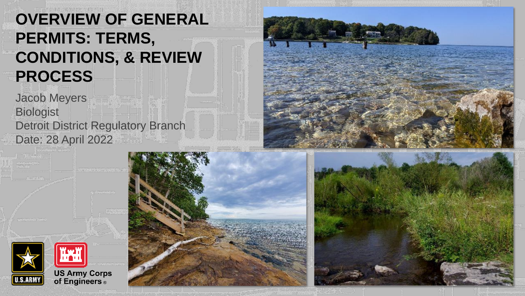#### **OVERVIEW OF GENERAL PERMITS: TERMS, CONDITIONS, & REVIEW PROCESS**

Jacob Meyers **Biologist** Detroit District Regulatory Branch Date: 28 April 2022







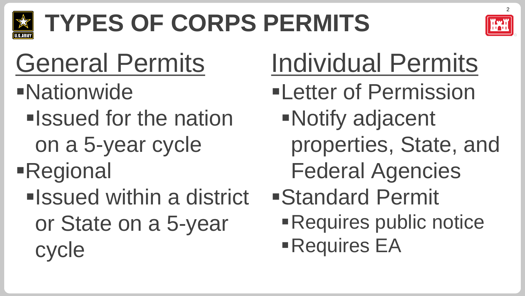

# **TYPES OF CORPS PERMITS**



### General Permits

- ▪Nationwide
	- **Elssued for the nation** 
		- on a 5-year cycle
- **Regional** 
	- **Elssued within a district** or State on a 5-year cycle

# Individual Permits

- **ELetter of Permission** ▪Notify adjacent
	- properties, State, and
	- Federal Agencies
- ▪Standard Permit **Requires public notice Requires EA**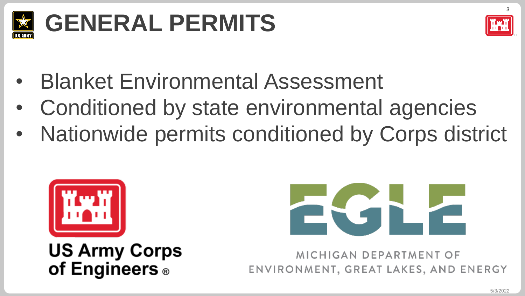

### **GENERAL PERMITS**



- Blanket Environmental Assessment
- Conditioned by state environmental agencies
- Nationwide permits conditioned by Corps district



**US Army Corps** of Engineers<sup>®</sup>



MICHIGAN DEPARTMENT OF ENVIRONMENT, GREAT LAKES, AND ENERGY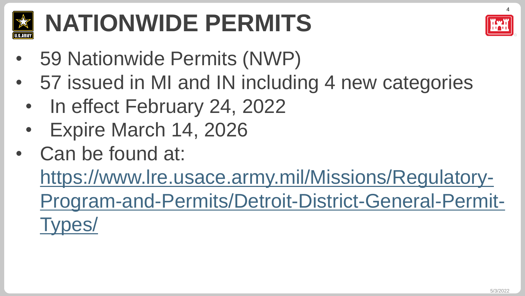

### **NATIONWIDE PERMITS**



- 59 Nationwide Permits (NWP)
- 57 issued in MI and IN including 4 new categories
	- In effect February 24, 2022
	- Expire March 14, 2026
- Can be found at:

https://www.lre.usace.army.mil/Missions/Regulatory-[Program-and-Permits/Detroit-District-General-Permit-](https://www.lre.usace.army.mil/Missions/Regulatory-Program-and-Permits/Detroit-District-General-Permit-Types/)Types/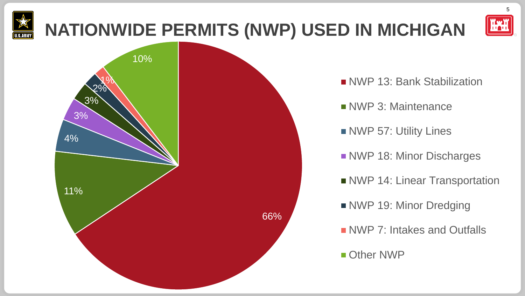### **NATIONWIDE PERMITS (NWP) USED IN MICHIGAN**



5



- NWP 13: Bank Stabilization
- NWP 3: Maintenance
- **NWP 57: Utility Lines**
- **NWP 18: Minor Discharges**
- NWP 14: Linear Transportation
- NWP 19: Minor Dredging
- NWP 7: Intakes and Outfalls

#### **Other NWP**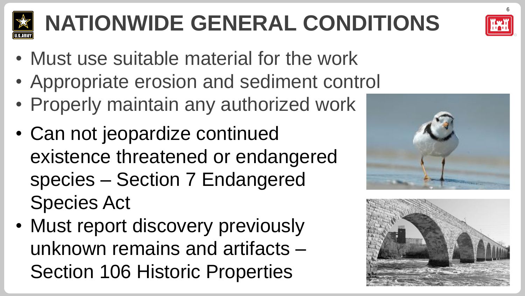

### **NATIONWIDE GENERAL CONDITIONS**

- Must use suitable material for the work
- Appropriate erosion and sediment control
- Properly maintain any authorized work
- Can not jeopardize continued existence threatened or endangered species – Section 7 Endangered Species Act
- Must report discovery previously unknown remains and artifacts – Section 106 Historic Properties





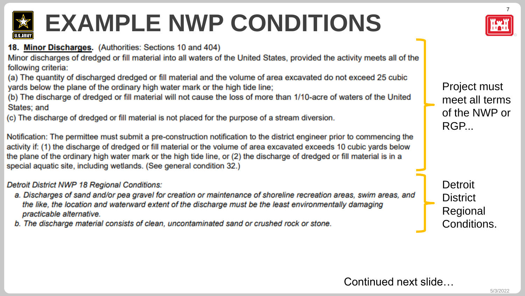

### **EXAMPLE NWP CONDITIONS**

18. Minor Discharges. (Authorities: Sections 10 and 404)

Minor discharges of dredged or fill material into all waters of the United States, provided the activity meets all of the following criteria:

(a) The quantity of discharged dredged or fill material and the volume of area excavated do not exceed 25 cubic yards below the plane of the ordinary high water mark or the high tide line;

(b) The discharge of dredged or fill material will not cause the loss of more than 1/10-acre of waters of the United States; and

(c) The discharge of dredged or fill material is not placed for the purpose of a stream diversion.

Notification: The permittee must submit a pre-construction notification to the district engineer prior to commencing the activity if: (1) the discharge of dredged or fill material or the volume of area excavated exceeds 10 cubic yards below the plane of the ordinary high water mark or the high tide line, or (2) the discharge of dredged or fill material is in a special aquatic site, including wetlands. (See general condition 32.)

#### Detroit District NWP 18 Regional Conditions:

- a. Discharges of sand and/or pea gravel for creation or maintenance of shoreline recreation areas, swim areas, and the like, the location and waterward extent of the discharge must be the least environmentally damaging practicable alternative.
- b. The discharge material consists of clean, uncontaminated sand or crushed rock or stone.



Project must meet all terms of the NWP or RGP...

**Detroit District** Regional Conditions.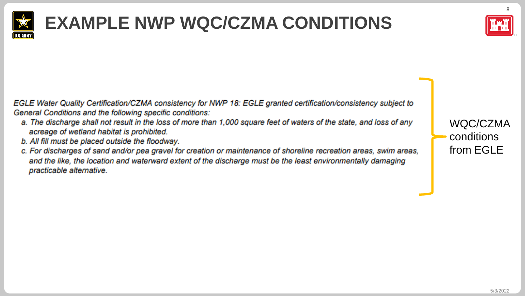

### **EXAMPLE NWP WQC/CZMA CONDITIONS**



EGLE Water Quality Certification/CZMA consistency for NWP 18: EGLE granted certification/consistency subject to General Conditions and the following specific conditions:

- a. The discharge shall not result in the loss of more than 1,000 square feet of waters of the state, and loss of any acreage of wetland habitat is prohibited.
- b. All fill must be placed outside the floodway.
- c. For discharges of sand and/or pea gravel for creation or maintenance of shoreline recreation areas, swim areas, and the like, the location and waterward extent of the discharge must be the least environmentally damaging practicable alternative.

WQC/CZMA conditions from EGLE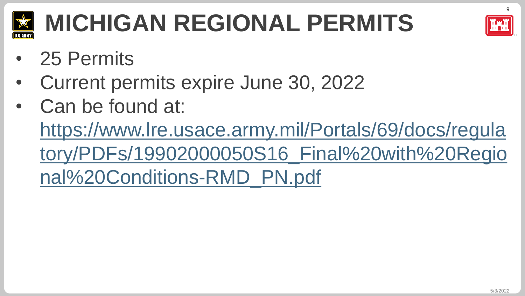

### **MICHIGAN REGIONAL PERMITS**

- 25 Permits
- Current permits expire June 30, 2022
- Can be found at: https://www.lre.usace.army.mil/Portals/69/docs/regula [tory/PDFs/19902000050S16\\_Final%20with%20Regio](https://www.lre.usace.army.mil/Portals/69/docs/regulatory/PDFs/19902000050S16_Final%20with%20Regional%20Conditions-RMD_PN.pdf) nal%20Conditions-RMD\_PN.pdf



9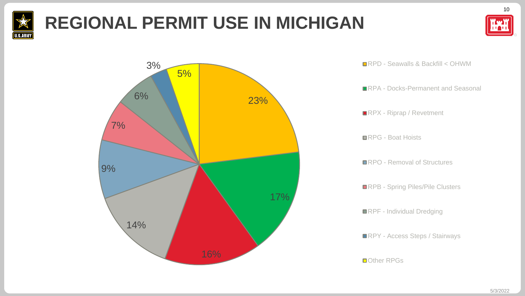

### **REGIONAL PERMIT USE IN MICHIGAN**





■RPD - Seawalls & Backfill < OHWM

■RPA - Docks-Permanent and Seasonal

RPX - Riprap / Revetment

■RPG - Boat Hoists

■RPO - Removal of Structures

**RPB - Spring Piles/Pile Clusters** 

**RPF** - Individual Dredging

■RPY - Access Steps / Stairways

■Other RPGs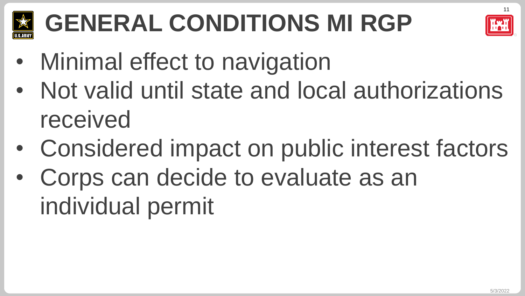

## **GENERAL CONDITIONS MI RGP**



- Minimal effect to navigation
- Not valid until state and local authorizations received
- Considered impact on public interest factors
- Corps can decide to evaluate as an individual permit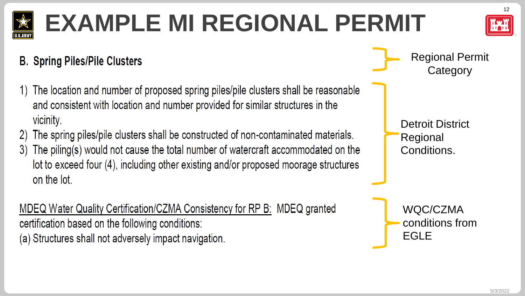### **EXAMPLE MI REGIONAL PERMIT**

#### **B. Spring Piles/Pile Clusters**

- The location and number of proposed spring piles/pile clusters shall be reasonable and consistent with location and number provided for similar structures in the vicinity.
- The spring piles/pile clusters shall be constructed of non-contaminated materials. 2)
- The piling(s) would not cause the total number of watercraft accommodated on the  $3)$ lot to exceed four (4), including other existing and/or proposed moorage structures on the lot.

MDEQ Water Quality Certification/CZMA Consistency for RP B: MDEQ granted certification based on the following conditions: (a) Structures shall not adversely impact navigation.

Regional Permit **Category** 

Detroit District Regional Conditions.

WQC/CZMA conditions from EGLE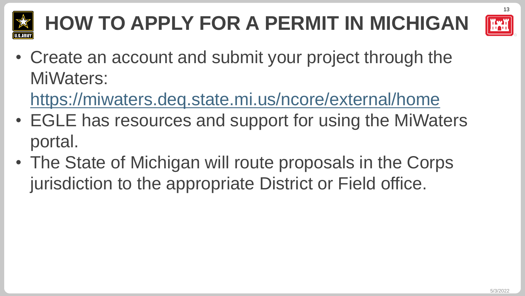

### **HOW TO APPLY FOR A PERMIT IN MICHIGAN**



• Create an account and submit your project through the MiWaters:

<https://miwaters.deq.state.mi.us/ncore/external/home>

- EGLE has resources and support for using the MiWaters portal.
- The State of Michigan will route proposals in the Corps jurisdiction to the appropriate District or Field office.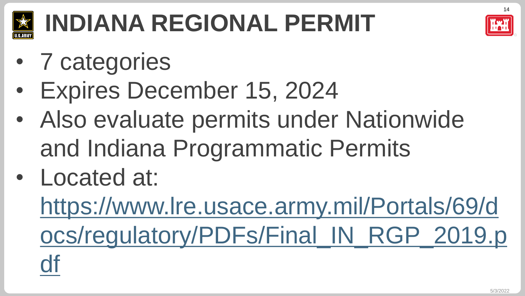

### **INDIANA REGIONAL PERMIT**

- 7 categories
- Expires December 15, 2024
- Also evaluate permits under Nationwide and Indiana Programmatic Permits
- Located at:

https://www.lre.usace.army.mil/Portals/69/d [ocs/regulatory/PDFs/Final\\_IN\\_RGP\\_2019.p](https://www.lre.usace.army.mil/Portals/69/docs/regulatory/PDFs/Final_IN_RGP_2019.pdf) df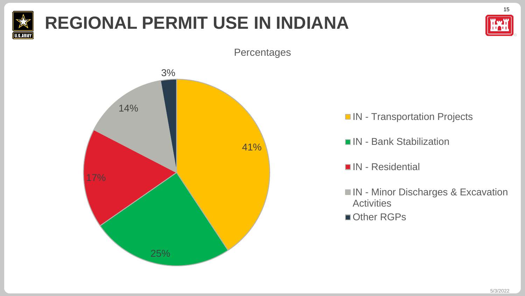

### **REGIONAL PERMIT USE IN INDIANA**



15

**IN** - Transportation Projects

- IN Bank Stabilization
- IN Residential
- **IN Minor Discharges & Excavation Activities**
- Other RGPs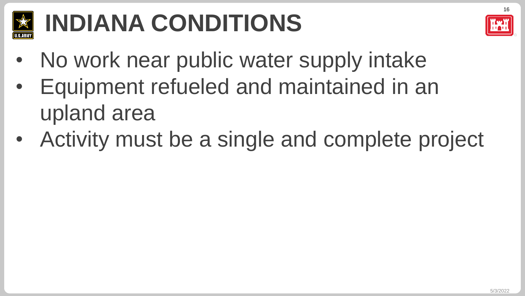

### **INDIANA CONDITIONS**



- No work near public water supply intake
- Equipment refueled and maintained in an upland area
- Activity must be a single and complete project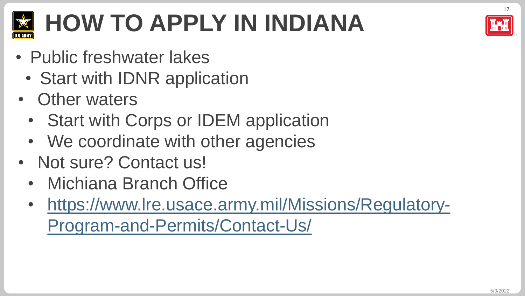

### **HOW TO APPLY IN INDIANA**

- Public freshwater lakes
	- Start with IDNR application
- Other waters
	- Start with Corps or IDEM application
	- We coordinate with other agencies
- Not sure? Contact us!
	- Michiana Branch Office
	- [https://www.lre.usace.army.mil/Missions/Regulatory-](https://www.lre.usace.army.mil/Missions/Regulatory-Program-and-Permits/Contact-Us/)Program-and-Permits/Contact-Us/

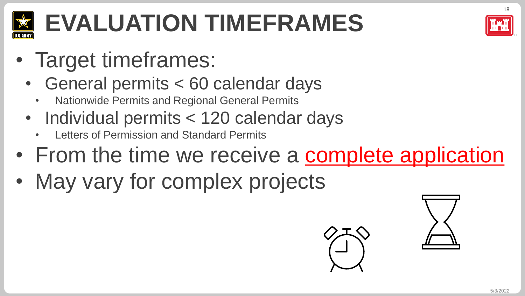

### **EVALUATION TIMEFRAMES**

- Target timeframes:
	- General permits < 60 calendar days
		- Nationwide Permits and Regional General Permits
	- Individual permits < 120 calendar days
		- Letters of Permission and Standard Permits
- From the time we receive a complete application
- May vary for complex projects



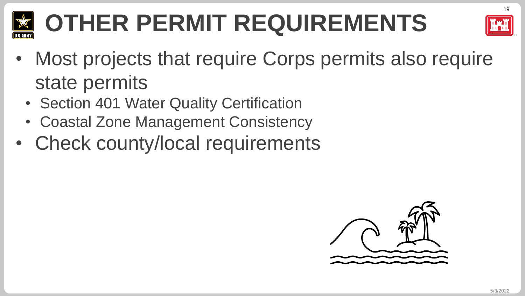

### **OTHER PERMIT REQUIREMENTS**



- Most projects that require Corps permits also require state permits
	- Section 401 Water Quality Certification
	- Coastal Zone Management Consistency
- Check county/local requirements